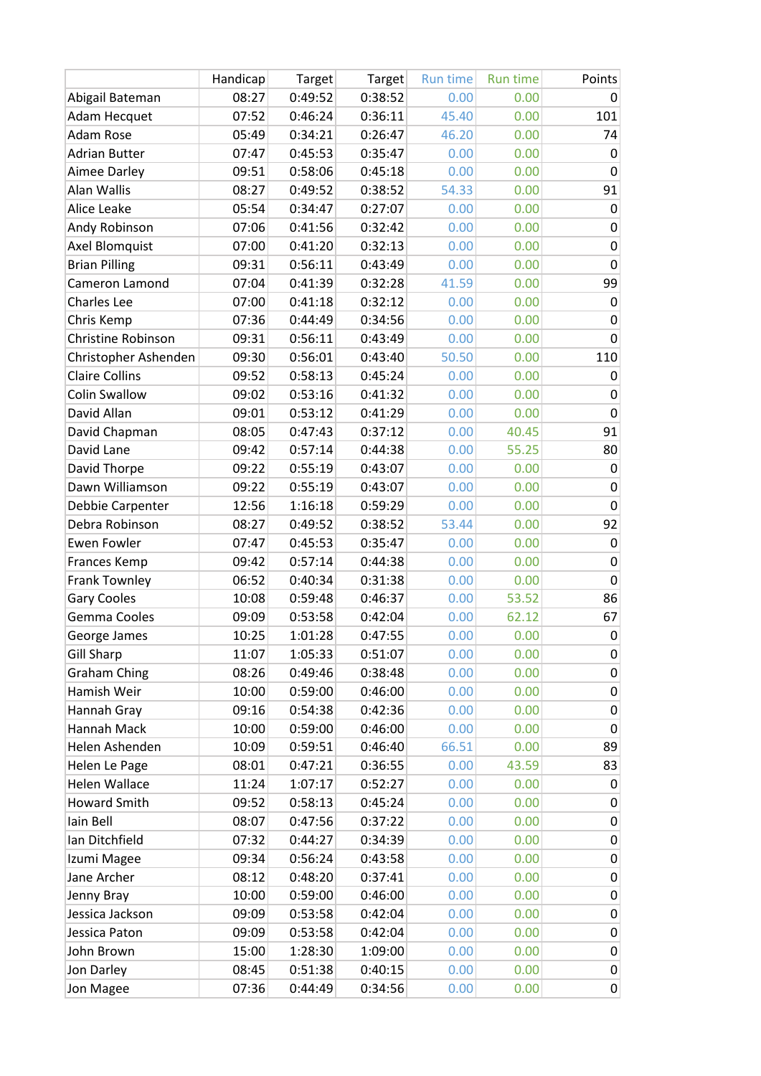|                       | Handicap | Target  | Target  | <b>Run time</b> | <b>Run time</b> | Points       |
|-----------------------|----------|---------|---------|-----------------|-----------------|--------------|
| Abigail Bateman       | 08:27    | 0:49:52 | 0:38:52 | 0.00            | 0.00            | 0            |
| <b>Adam Hecquet</b>   | 07:52    | 0:46:24 | 0:36:11 | 45.40           | 0.00            | 101          |
| <b>Adam Rose</b>      | 05:49    | 0:34:21 | 0:26:47 | 46.20           | 0.00            | 74           |
| <b>Adrian Butter</b>  | 07:47    | 0:45:53 | 0:35:47 | 0.00            | 0.00            | 0            |
| Aimee Darley          | 09:51    | 0:58:06 | 0:45:18 | 0.00            | 0.00            | 0            |
| Alan Wallis           | 08:27    | 0:49:52 | 0:38:52 | 54.33           | 0.00            | 91           |
| Alice Leake           | 05:54    | 0:34:47 | 0:27:07 | 0.00            | 0.00            | $\mathbf 0$  |
| Andy Robinson         | 07:06    | 0:41:56 | 0:32:42 | 0.00            | 0.00            | $\pmb{0}$    |
| Axel Blomquist        | 07:00    | 0:41:20 | 0:32:13 | 0.00            | 0.00            | 0            |
| <b>Brian Pilling</b>  | 09:31    | 0:56:11 | 0:43:49 | 0.00            | 0.00            | $\mathbf 0$  |
| Cameron Lamond        | 07:04    | 0:41:39 | 0:32:28 | 41.59           | 0.00            | 99           |
| <b>Charles Lee</b>    | 07:00    | 0:41:18 | 0:32:12 | 0.00            | 0.00            | $\mathbf 0$  |
| Chris Kemp            | 07:36    | 0:44:49 | 0:34:56 | 0.00            | 0.00            | 0            |
| Christine Robinson    | 09:31    | 0:56:11 | 0:43:49 | 0.00            | 0.00            | $\mathbf{0}$ |
| Christopher Ashenden  | 09:30    | 0:56:01 | 0:43:40 | 50.50           | 0.00            | 110          |
| <b>Claire Collins</b> | 09:52    | 0:58:13 | 0:45:24 | 0.00            | 0.00            | 0            |
| <b>Colin Swallow</b>  | 09:02    | 0:53:16 | 0:41:32 | 0.00            | 0.00            | $\mathbf 0$  |
| David Allan           | 09:01    | 0:53:12 | 0:41:29 | 0.00            | 0.00            | $\mathbf 0$  |
| David Chapman         | 08:05    | 0:47:43 | 0:37:12 | 0.00            | 40.45           | 91           |
| David Lane            | 09:42    | 0:57:14 | 0:44:38 | 0.00            | 55.25           | 80           |
| David Thorpe          | 09:22    | 0:55:19 | 0:43:07 | 0.00            | 0.00            | $\mathbf 0$  |
| Dawn Williamson       | 09:22    | 0:55:19 | 0:43:07 | 0.00            | 0.00            | $\mathbf 0$  |
| Debbie Carpenter      | 12:56    | 1:16:18 | 0:59:29 | 0.00            | 0.00            | $\mathbf 0$  |
| Debra Robinson        | 08:27    | 0:49:52 | 0:38:52 | 53.44           | 0.00            | 92           |
| <b>Ewen Fowler</b>    | 07:47    | 0:45:53 | 0:35:47 | 0.00            | 0.00            | 0            |
| Frances Kemp          | 09:42    | 0:57:14 | 0:44:38 | 0.00            | 0.00            | $\mathbf 0$  |
| <b>Frank Townley</b>  | 06:52    | 0:40:34 | 0:31:38 | 0.00            | 0.00            | $\mathbf 0$  |
| <b>Gary Cooles</b>    | 10:08    | 0:59:48 | 0:46:37 | 0.00            | 53.52           | 86           |
| Gemma Cooles          | 09:09    | 0:53:58 | 0:42:04 | 0.00            | 62.12           | 67           |
| George James          | 10:25    | 1:01:28 | 0:47:55 | 0.00            | 0.00            | $\mathbf 0$  |
| <b>Gill Sharp</b>     | 11:07    | 1:05:33 | 0:51:07 | 0.00            | 0.00            | 0            |
| <b>Graham Ching</b>   | 08:26    | 0:49:46 | 0:38:48 | 0.00            | 0.00            | 0            |
| Hamish Weir           | 10:00    | 0:59:00 | 0:46:00 | 0.00            | 0.00            | 0            |
| Hannah Gray           | 09:16    | 0:54:38 | 0:42:36 | 0.00            | 0.00            | 0            |
| Hannah Mack           | 10:00    | 0:59:00 | 0:46:00 | 0.00            | 0.00            | 0            |
| Helen Ashenden        | 10:09    | 0:59:51 | 0:46:40 | 66.51           | 0.00            | 89           |
| Helen Le Page         | 08:01    | 0:47:21 | 0:36:55 | 0.00            | 43.59           | 83           |
| <b>Helen Wallace</b>  | 11:24    | 1:07:17 | 0:52:27 | 0.00            | 0.00            | $\pmb{0}$    |
| <b>Howard Smith</b>   | 09:52    | 0:58:13 | 0:45:24 | 0.00            | 0.00            | 0            |
| lain Bell             | 08:07    | 0:47:56 | 0:37:22 | 0.00            | 0.00            | 0            |
| Ian Ditchfield        | 07:32    | 0:44:27 | 0:34:39 | 0.00            | 0.00            | $\pmb{0}$    |
| Izumi Magee           | 09:34    | 0:56:24 | 0:43:58 | 0.00            | 0.00            | $\pmb{0}$    |
| Jane Archer           | 08:12    | 0:48:20 | 0:37:41 | 0.00            | 0.00            | 0            |
| Jenny Bray            | 10:00    | 0:59:00 | 0:46:00 | 0.00            | 0.00            | $\pmb{0}$    |
| Jessica Jackson       | 09:09    | 0:53:58 | 0:42:04 | 0.00            | 0.00            | 0            |
| Jessica Paton         | 09:09    | 0:53:58 | 0:42:04 | 0.00            | 0.00            | 0            |
| John Brown            | 15:00    | 1:28:30 | 1:09:00 | 0.00            | 0.00            | 0            |
| Jon Darley            | 08:45    | 0:51:38 | 0:40:15 | 0.00            | 0.00            | $\pmb{0}$    |
| Jon Magee             | 07:36    | 0:44:49 | 0:34:56 | 0.00            | 0.00            | $\pmb{0}$    |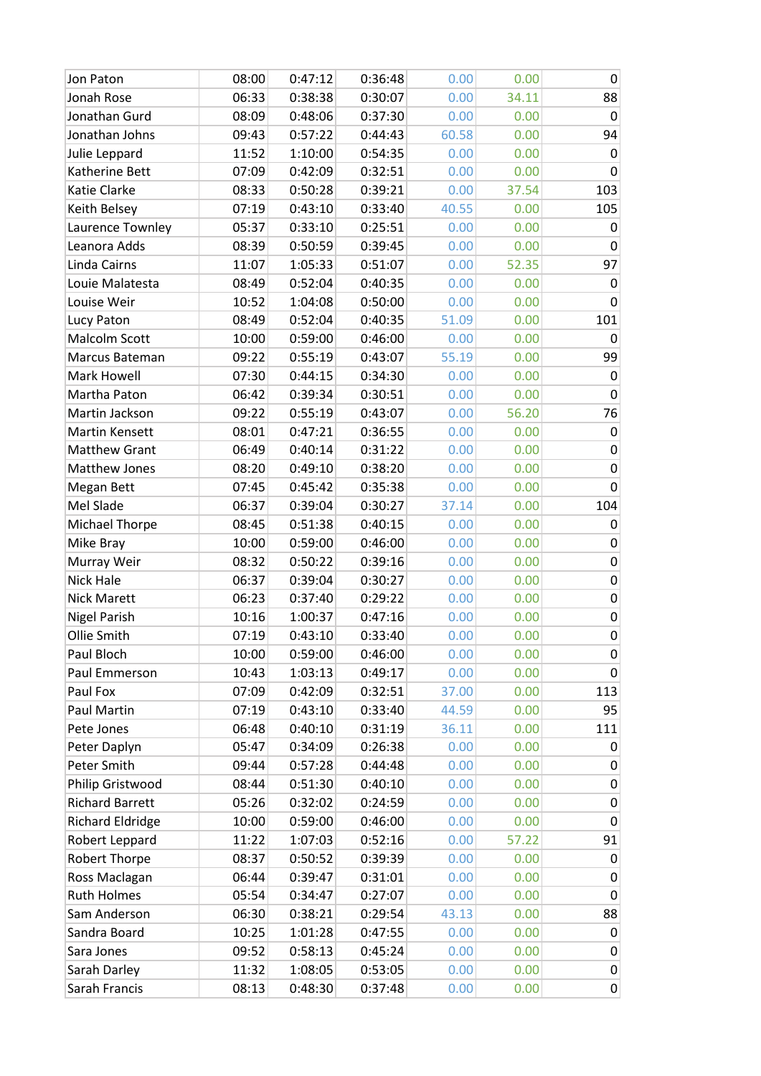| Jon Paton               | 08:00 | 0:47:12 | 0:36:48 | 0.00  | 0.00  | $\mathbf 0$ |
|-------------------------|-------|---------|---------|-------|-------|-------------|
| Jonah Rose              | 06:33 | 0:38:38 | 0:30:07 | 0.00  | 34.11 | 88          |
| Jonathan Gurd           | 08:09 | 0:48:06 | 0:37:30 | 0.00  | 0.00  | 0           |
| Jonathan Johns          | 09:43 | 0:57:22 | 0:44:43 | 60.58 | 0.00  | 94          |
| Julie Leppard           | 11:52 | 1:10:00 | 0:54:35 | 0.00  | 0.00  | 0           |
| Katherine Bett          | 07:09 | 0:42:09 | 0:32:51 | 0.00  | 0.00  | 0           |
| Katie Clarke            | 08:33 | 0:50:28 | 0:39:21 | 0.00  | 37.54 | 103         |
| Keith Belsey            | 07:19 | 0:43:10 | 0:33:40 | 40.55 | 0.00  | 105         |
| Laurence Townley        | 05:37 | 0:33:10 | 0:25:51 | 0.00  | 0.00  | 0           |
| Leanora Adds            | 08:39 | 0:50:59 | 0:39:45 | 0.00  | 0.00  | 0           |
| Linda Cairns            | 11:07 | 1:05:33 | 0:51:07 | 0.00  | 52.35 | 97          |
| Louie Malatesta         | 08:49 | 0:52:04 | 0:40:35 | 0.00  | 0.00  | 0           |
| Louise Weir             | 10:52 | 1:04:08 | 0:50:00 | 0.00  | 0.00  | 0           |
| Lucy Paton              | 08:49 | 0:52:04 | 0:40:35 | 51.09 | 0.00  | 101         |
| Malcolm Scott           | 10:00 | 0:59:00 | 0:46:00 | 0.00  | 0.00  | 0           |
| Marcus Bateman          | 09:22 | 0:55:19 | 0:43:07 | 55.19 | 0.00  | 99          |
| Mark Howell             | 07:30 | 0:44:15 | 0:34:30 | 0.00  | 0.00  | 0           |
| Martha Paton            | 06:42 | 0:39:34 | 0:30:51 | 0.00  | 0.00  | 0           |
| Martin Jackson          | 09:22 | 0:55:19 | 0:43:07 | 0.00  | 56.20 | 76          |
| Martin Kensett          | 08:01 | 0:47:21 | 0:36:55 | 0.00  | 0.00  | 0           |
| <b>Matthew Grant</b>    | 06:49 | 0:40:14 | 0:31:22 | 0.00  | 0.00  | 0           |
| Matthew Jones           | 08:20 | 0:49:10 | 0:38:20 | 0.00  | 0.00  | 0           |
| Megan Bett              | 07:45 | 0:45:42 | 0:35:38 | 0.00  | 0.00  | 0           |
| Mel Slade               | 06:37 | 0:39:04 | 0:30:27 | 37.14 | 0.00  | 104         |
| Michael Thorpe          | 08:45 | 0:51:38 | 0:40:15 | 0.00  | 0.00  | 0           |
| Mike Bray               | 10:00 | 0:59:00 | 0:46:00 | 0.00  | 0.00  | 0           |
| Murray Weir             | 08:32 | 0:50:22 | 0:39:16 | 0.00  | 0.00  | 0           |
| Nick Hale               | 06:37 | 0:39:04 | 0:30:27 | 0.00  | 0.00  | 0           |
| <b>Nick Marett</b>      | 06:23 | 0:37:40 | 0:29:22 | 0.00  | 0.00  | 0           |
| <b>Nigel Parish</b>     | 10:16 | 1:00:37 | 0:47:16 | 0.00  | 0.00  | $\pmb{0}$   |
| Ollie Smith             | 07:19 | 0:43:10 | 0:33:40 | 0.00  | 0.00  | $\pmb{0}$   |
| Paul Bloch              | 10:00 | 0:59:00 | 0:46:00 | 0.00  | 0.00  | 0           |
| Paul Emmerson           | 10:43 | 1:03:13 | 0:49:17 | 0.00  | 0.00  | 0           |
| Paul Fox                | 07:09 | 0:42:09 | 0:32:51 | 37.00 | 0.00  | 113         |
| Paul Martin             | 07:19 | 0:43:10 | 0:33:40 | 44.59 | 0.00  | 95          |
| Pete Jones              | 06:48 | 0:40:10 | 0:31:19 | 36.11 | 0.00  | 111         |
| Peter Daplyn            | 05:47 | 0:34:09 | 0:26:38 | 0.00  | 0.00  | 0           |
| Peter Smith             | 09:44 | 0:57:28 | 0:44:48 | 0.00  | 0.00  | 0           |
| Philip Gristwood        | 08:44 | 0:51:30 | 0:40:10 | 0.00  | 0.00  | 0           |
| <b>Richard Barrett</b>  | 05:26 | 0:32:02 | 0:24:59 | 0.00  | 0.00  | 0           |
| <b>Richard Eldridge</b> | 10:00 | 0:59:00 | 0:46:00 | 0.00  | 0.00  | 0           |
| Robert Leppard          | 11:22 | 1:07:03 | 0:52:16 | 0.00  | 57.22 | 91          |
| <b>Robert Thorpe</b>    | 08:37 | 0:50:52 | 0:39:39 | 0.00  | 0.00  | 0           |
| Ross Maclagan           | 06:44 | 0:39:47 | 0:31:01 | 0.00  | 0.00  | 0           |
| <b>Ruth Holmes</b>      | 05:54 | 0:34:47 | 0:27:07 | 0.00  | 0.00  | 0           |
| Sam Anderson            | 06:30 | 0:38:21 | 0:29:54 | 43.13 | 0.00  | 88          |
| Sandra Board            | 10:25 | 1:01:28 | 0:47:55 | 0.00  | 0.00  | 0           |
| Sara Jones              | 09:52 | 0:58:13 | 0:45:24 | 0.00  | 0.00  | 0           |
| Sarah Darley            | 11:32 | 1:08:05 | 0:53:05 | 0.00  | 0.00  | 0           |
| Sarah Francis           | 08:13 | 0:48:30 | 0:37:48 | 0.00  | 0.00  | $\pmb{0}$   |